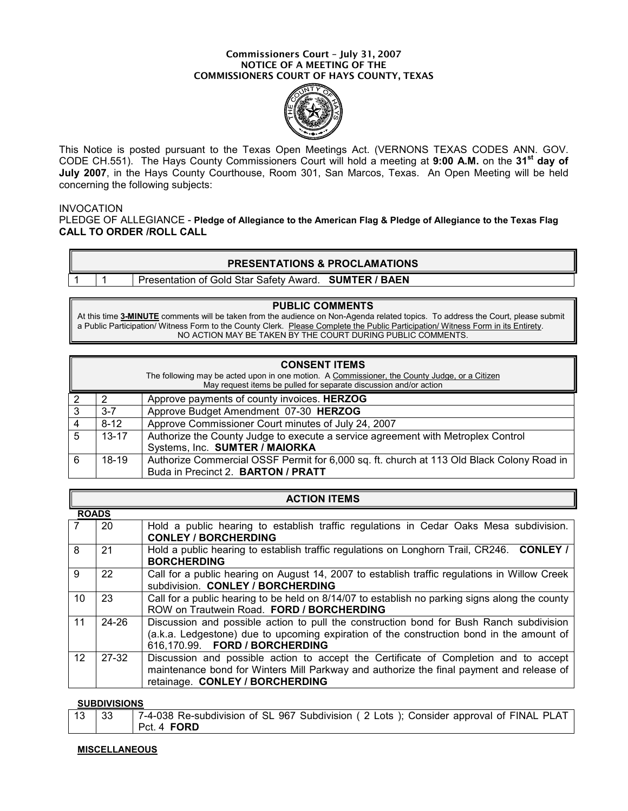#### Commissioners Court – July 31, 2007 NOTICE OF A MEETING OF THE COMMISSIONERS COURT OF HAYS COUNTY, TEXAS



This Notice is posted pursuant to the Texas Open Meetings Act. (VERNONS TEXAS CODES ANN. GOV. CODE CH.551). The Hays County Commissioners Court will hold a meeting at 9:00 A.M. on the 31<sup>st</sup> day of July 2007, in the Hays County Courthouse, Room 301, San Marcos, Texas. An Open Meeting will be held concerning the following subjects:

### INVOCATION

PLEDGE OF ALLEGIANCE - Pledge of Allegiance to the American Flag & Pledge of Allegiance to the Texas Flag CALL TO ORDER /ROLL CALL

## PRESENTATIONS & PROCLAMATIONS

1 | Presentation of Gold Star Safety Award. SUMTER / BAEN

#### PUBLIC COMMENTS

At this time 3-MINUTE comments will be taken from the audience on Non-Agenda related topics. To address the Court, please submit a Public Participation/ Witness Form to the County Clerk. Please Complete the Public Participation/ Witness Form in its Entirety. NO ACTION MAY BE TAKEN BY THE COURT DURING PUBLIC COMMENTS.

| <b>CONSENT ITEMS</b><br>The following may be acted upon in one motion. A Commissioner, the County Judge, or a Citizen<br>May request items be pulled for separate discussion and/or action |           |                                                                                                                                 |
|--------------------------------------------------------------------------------------------------------------------------------------------------------------------------------------------|-----------|---------------------------------------------------------------------------------------------------------------------------------|
|                                                                                                                                                                                            |           | Approve payments of county invoices. HERZOG                                                                                     |
|                                                                                                                                                                                            | $3 - 7$   | Approve Budget Amendment 07-30 HERZOG                                                                                           |
| 4                                                                                                                                                                                          | $8 - 12$  | Approve Commissioner Court minutes of July 24, 2007                                                                             |
| 5                                                                                                                                                                                          | $13 - 17$ | Authorize the County Judge to execute a service agreement with Metroplex Control                                                |
|                                                                                                                                                                                            |           | Systems, Inc. SUMTER / MAIORKA                                                                                                  |
| 6                                                                                                                                                                                          | $18-19$   | Authorize Commercial OSSF Permit for 6,000 sq. ft. church at 113 Old Black Colony Road in<br>Buda in Precinct 2. BARTON / PRATT |

| <b>ACTION ITEMS</b> |           |                                                                                                                                                                                                                       |
|---------------------|-----------|-----------------------------------------------------------------------------------------------------------------------------------------------------------------------------------------------------------------------|
| <b>ROADS</b>        |           |                                                                                                                                                                                                                       |
|                     | 20        | Hold a public hearing to establish traffic regulations in Cedar Oaks Mesa subdivision.<br><b>CONLEY / BORCHERDING</b>                                                                                                 |
| 8                   | 21        | Hold a public hearing to establish traffic regulations on Longhorn Trail, CR246. CONLEY /<br><b>BORCHERDING</b>                                                                                                       |
| 9                   | 22        | Call for a public hearing on August 14, 2007 to establish traffic regulations in Willow Creek<br>subdivision. CONLEY / BORCHERDING                                                                                    |
| 10                  | 23        | Call for a public hearing to be held on 8/14/07 to establish no parking signs along the county<br>ROW on Trautwein Road. FORD / BORCHERDING                                                                           |
| 11                  | $24 - 26$ | Discussion and possible action to pull the construction bond for Bush Ranch subdivision<br>(a.k.a. Ledgestone) due to upcoming expiration of the construction bond in the amount of<br>616,170.99. FORD / BORCHERDING |
| 12                  | $27-32$   | Discussion and possible action to accept the Certificate of Completion and to accept<br>maintenance bond for Winters Mill Parkway and authorize the final payment and release of<br>retainage. CONLEY / BORCHERDING   |

#### **SUBDIVISIONS**

| 13   33 | 7-4-038 Re-subdivision of SL 967 Subdivision (2 Lots); Consider approval of FINAL PLAT |
|---------|----------------------------------------------------------------------------------------|
|         | Pct. 4 <b>FORD</b>                                                                     |

#### **MISCELLANEOUS**